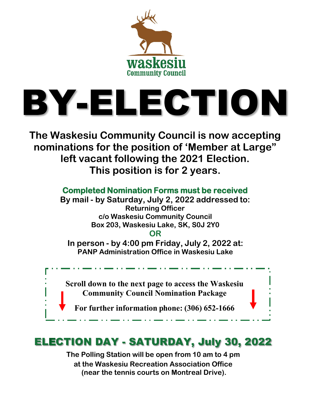

# BY-ELECTION

**The Waskesiu Community Council is now accepting nominations for the position of 'Member at Large" left vacant following the 2021 Election. This position is for 2 years.**

> **Completed Nomination Forms must be received By mail - by Saturday, July 2, 2022 addressed to: Returning Officer c/o Waskesiu Community Council Box 203, Waskesiu Lake, SK, S0J 2Y0 OR**

**In person - by 4:00 pm Friday, July 2, 2022 at: PANP Administration Office in Waskesiu Lake**

**Scroll down to the next page to access the Waskesiu Community Council Nomination Package**

**For further information phone: (306) 652-1666**

# **ELECTION DAY - SATURDAY, July 30, 2022**

**The Polling Station will be open from 10 am to 4 pm at the Waskesiu Recreation Association Office (near the tennis courts on Montreal Drive).**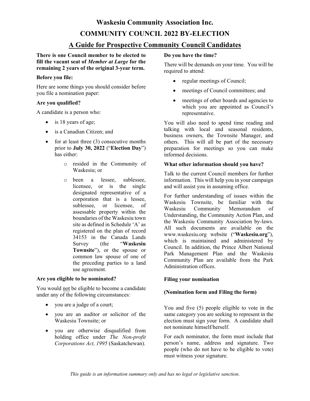# **Waskesiu Community Association Inc. COMMUNITY COUNCIL 2022 BY-ELECTION**

## **A Guide for Prospective Community Council Candidates**

**There is one Council member to be elected to fill the vacant seat of** *Member at Large* **for the remaining 2 years of the original 3-year term.**

## **Before you file:**

Here are some things you should consider before you file a nomination paper:

## **Are you qualified?**

A candidate is a person who:

- is 18 years of age;
- is a Canadian Citizen; and
- for at least three (3) consecutive months prior to **July 30, 2022** ("**Election Day**") has either:
	- o resided in the Community of Waskesiu; or
	- o been a lessee, sublessee, licensee, or is the single designated representative of a corporation that is a lessee, sublessee, or licensee, of assessable property within the boundaries of the Waskesiu town site as defined in Schedule 'A' as registered on the plan of record 34153 in the Canada Lands Survey (the "**Waskesiu Townsite**"), or the spouse or common law spouse of one of the preceding parties to a land use agreement.

## **Are you eligible to be nominated?**

You would not be eligible to become a candidate under any of the following circumstances:

- you are a judge of a court;
- you are an auditor or solicitor of the Waskesiu Townsite; or
- you are otherwise disqualified from holding office under *The Non-profit Corporations Act, 1995* (Saskatchewan).

## **Do you have the time?**

There will be demands on your time. You will be required to attend:

- regular meetings of Council;
- meetings of Council committees; and
- meetings of other boards and agencies to which you are appointed as Council's representative.

You will also need to spend time reading and talking with local and seasonal residents, business owners, the Townsite Manager, and others. This will all be part of the necessary preparation for meetings so you can make informed decisions.

## **What other information should you have?**

Talk to the current Council members for further information. This will help you in your campaign and will assist you in assuming office.

For further understanding of issues within the Waskesiu Townsite, be familiar with the Waskesiu Community Memorandum of Understanding, the Community Action Plan, and the Waskesiu Community Association by-laws. All such documents are available on the [www.waskesiu.org](http://www.waskesiu.org/) website ("**Waskesiu.org**"), which is maintained and administered by Council. In addition, the Prince Albert National Park Management Plan and the Waskesiu Community Plan are available from the Park Administration offices.

## **Filing your nomination**

## **(Nomination form and Filing the form)**

You and five (5) people eligible to vote in the same category you are seeking to represent in the election must sign your form. A candidate shall not nominate himself/herself.

For each nominator, the form must include that person's name, address and signature. Two people (who do not have to be eligible to vote) must witness your signature.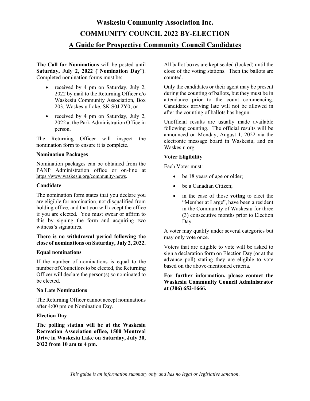## **Waskesiu Community Association Inc. COMMUNITY COUNCIL 2022 BY-ELECTION A Guide for Prospective Community Council Candidates**

**The Call for Nominations** will be posted until **Saturday, July 2, 2022 (**"**Nomination Day**"**)**. Completed nomination forms must be:

- received by 4 pm on Saturday, July 2, 2022 by mail to the Returning Officer c/o Waskesiu Community Association, Box 203, Waskesiu Lake, SK S0J 2Y0; or
- received by 4 pm on Saturday, July 2, 2022 at the Park Administration Office in person.

The Returning Officer will inspect the nomination form to ensure it is complete.

## **Nomination Packages**

Nomination packages can be obtained from the PANP Administration office or on-line at [https://www.waskesiu.org/community-news.](https://www.waskesiu.org/community-news)

#### **Candidate**

The nomination form states that you declare you are eligible for nomination, not disqualified from holding office, and that you will accept the office if you are elected. You must swear or affirm to this by signing the form and acquiring two witness's signatures.

## **There is no withdrawal period following the close of nominations on Saturday, July 2, 2022.**

## **Equal nominations**

If the number of nominations is equal to the number of Councilors to be elected, the Returning Officer will declare the person(s) so nominated to be elected.

## **No Late Nominations**

The Returning Officer cannot accept nominations after 4:00 pm on Nomination Day.

## **Election Day**

**The polling station will be at the Waskesiu Recreation Association office, 1500 Montreal Drive in Waskesiu Lake on Saturday, July 30, 2022 from 10 am to 4 pm.** 

All ballot boxes are kept sealed (locked) until the close of the voting stations. Then the ballots are counted.

Only the candidates or their agent may be present during the counting of ballots, but they must be in attendance prior to the count commencing. Candidates arriving late will not be allowed in after the counting of ballots has begun.

Unofficial results are usually made available following counting. The official results will be announced on Monday, August 1, 2022 via the electronic message board in Waskesiu, and on Waskesiu.org.

## **Voter Eligibility**

Each Voter must:

- be 18 years of age or older;
- be a Canadian Citizen;
- in the case of those **voting** to elect the "Member at Large", have been a resident in the Community of Waskesiu for three (3) consecutive months prior to Election Day.

A voter may qualify under several categories but may only vote once.

Voters that are eligible to vote will be asked to sign a declaration form on Election Day (or at the advance poll) stating they are eligible to vote based on the above-mentioned criteria.

**For further information, please contact the Waskesiu Community Council Administrator at (306) 652-1666.**